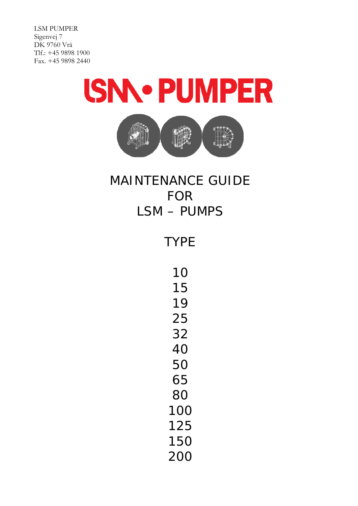



# MAINTENANCE GUIDE FOR LSM – PUMPS

TYPE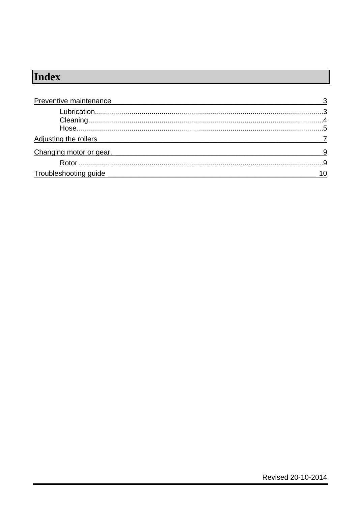# Index

| Preventive maintenance<br><u> 1989 - Johann Stoff, amerikansk politiker (d. 1989)</u> |     |
|---------------------------------------------------------------------------------------|-----|
|                                                                                       |     |
|                                                                                       |     |
|                                                                                       |     |
| Adjusting the rollers<br><u> 1989 - Johann Stoff, amerikansk politiker (* 1908)</u>   |     |
| Changing motor or gear.                                                               | - 9 |
|                                                                                       |     |
| Troubleshooting quide                                                                 |     |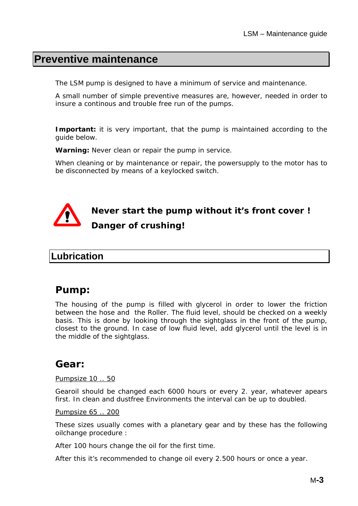## **Preventive maintenance**

The LSM pump is designed to have a minimum of service and maintenance.

A small number of simple preventive measures are, however, needed in order to insure a continous and trouble free run of the pumps.

**Important:** it is very important, that the pump is maintained according to the guide below.

**Warning:** Never clean or repair the pump in service.

When cleaning or by maintenance or repair, the powersupply to the motor has to be disconnected by means of a keylocked switch.

# **Never start the pump without it's front cover ! Danger of crushing!**

### **Lubrication**

#### **Pump:**

The housing of the pump is filled with glycerol in order to lower the friction between the hose and the Roller. The fluid level, should be checked on a weekly basis. This is done by looking through the sightglass in the front of the pump, closest to the ground. In case of low fluid level, add glycerol until the level is in the middle of the sightglass.

#### **Gear:**

#### Pumpsize 10 .. 50

Gearoil should be changed each 6000 hours or every 2. year, whatever apears first. In clean and dustfree Environments the interval can be up to doubled.

#### Pumpsize 65 .. 200

These sizes usually comes with a planetary gear and by these has the following oilchange procedure :

After 100 hours change the oil for the first time.

After this it's recommended to change oil every 2.500 hours or once a year.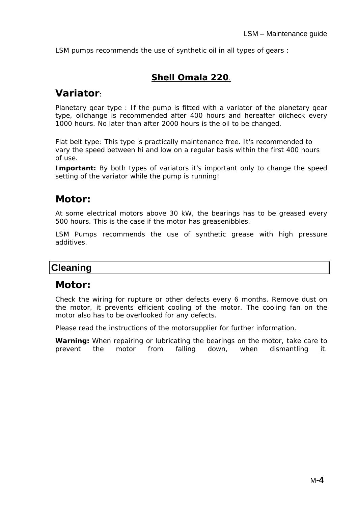LSM pumps recommends the use of synthetic oil in all types of gears :

### **Shell Omala 220**.

## **Variator**:

Planetary gear type : If the pump is fitted with a variator of the planetary gear type, oilchange is recommended after 400 hours and hereafter oilcheck every 1000 hours. No later than after 2000 hours is the oil to be changed.

Flat belt type: This type is practically maintenance free. It's recommended to vary the speed between hi and low on a regular basis within the first 400 hours of use.

**Important:** By both types of variators it's important only to change the speed setting of the variator while the pump is running!

## **Motor:**

At some electrical motors above 30 kW, the bearings has to be greased every 500 hours. This is the case if the motor has greasenibbles.

LSM Pumps recommends the use of synthetic grease with high pressure additives.

## **Cleaning**

### **Motor:**

Check the wiring for rupture or other defects every 6 months. Remove dust on the motor, it prevents efficient cooling of the motor. The cooling fan on the motor also has to be overlooked for any defects.

Please read the instructions of the motorsupplier for further information.

**Warning:** When repairing or lubricating the bearings on the motor, take care to prevent the motor from falling down, when dismantling it.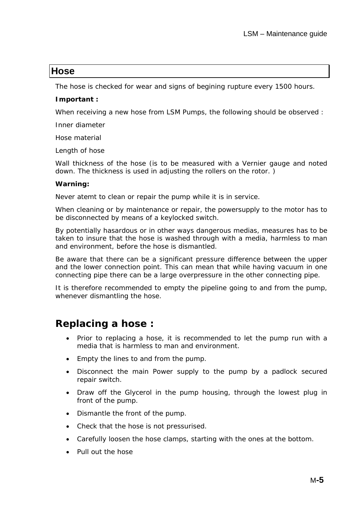#### **Hose**

The hose is checked for wear and signs of begining rupture every 1500 hours.

#### **Important :**

When receiving a new hose from LSM Pumps, the following should be observed :

Inner diameter

Hose material

Length of hose

Wall thickness of the hose (is to be measured with a Vernier gauge and noted down. The thickness is used in adjusting the rollers on the rotor. )

#### **Warning:**

Never atemt to clean or repair the pump while it is in service.

When cleaning or by maintenance or repair, the powersupply to the motor has to be disconnected by means of a keylocked switch.

By potentially hasardous or in other ways dangerous medias, measures has to be taken to insure that the hose is washed through with a media, harmless to man and environment, before the hose is dismantled.

Be aware that there can be a significant pressure difference between the upper and the lower connection point. This can mean that while having vacuum in one connecting pipe there can be a large overpressure in the other connecting pipe.

It is therefore recommended to empty the pipeline going to and from the pump, whenever dismantling the hose.

## **Replacing a hose :**

- Prior to replacing a hose, it is recommended to let the pump run with a media that is harmless to man and environment.
- Empty the lines to and from the pump.
- Disconnect the main Power supply to the pump by a padlock secured repair switch.
- Draw off the Givcerol in the pump housing, through the lowest plug in front of the pump.
- Dismantle the front of the pump.
- Check that the hose is not pressurised.
- Carefully loosen the hose clamps, starting with the ones at the bottom.
- Pull out the hose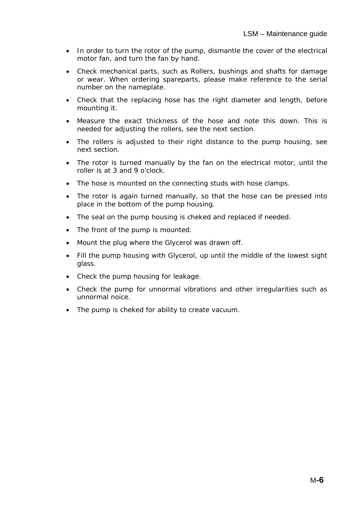- In order to turn the rotor of the pump, dismantle the cover of the electrical motor fan, and turn the fan by hand.
- Check mechanical parts, such as Rollers, bushings and shafts for damage or wear. When ordering spareparts, please make reference to the serial number on the nameplate.
- Check that the replacing hose has the right diameter and length, before mounting it.
- Measure the exact thickness of the hose and note this down. This is needed for adjusting the rollers, see the next section.
- The rollers is adjusted to their right distance to the pump housing, see next section.
- The rotor is turned manually by the fan on the electrical motor, until the roller is at 3 and 9 o'clock.
- The hose is mounted on the connecting studs with hose clamps.
- The rotor is again turned manually, so that the hose can be pressed into place in the bottom of the pump housing.
- The seal on the pump housing is cheked and replaced if needed.
- The front of the pump is mounted.
- Mount the plug where the Glycerol was drawn off.
- Fill the pump housing with Glycerol, up until the middle of the lowest sight glass.
- Check the pump housing for leakage.
- Check the pump for unnormal vibrations and other irregularities such as unnormal noice.
- The pump is cheked for ability to create vacuum.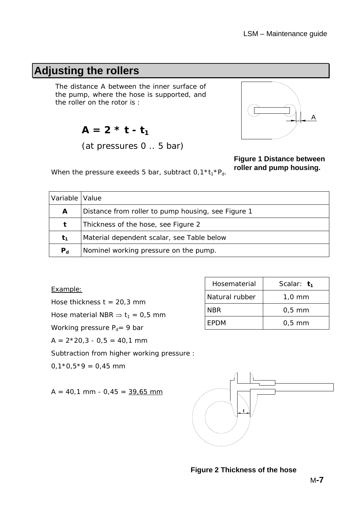## **Adjusting the rollers**

The distance A between the inner surface of the pump, where the hose is supported, and the roller on the rotor is :

### $A = 2 * t - t_1$

(at pressures 0 .. 5 bar)



**Figure 1 Distance between roller and pump housing.** 

When the pressure exeeds 5 bar, subtract  $0.1 * t_1 * P_d$ .

| Variable   Value |                                                    |  |
|------------------|----------------------------------------------------|--|
| A                | Distance from roller to pump housing, see Figure 1 |  |
| t                | Thickness of the hose, see Figure 2                |  |
| $t_1$            | Material dependent scalar, see Table below         |  |
| $P_{d}$          | Nominel working pressure on the pump.              |  |

Example:

Hose thickness  $t = 20,3$  mm

Hose material NBR  $\Rightarrow$  t<sub>1</sub> = 0,5 mm

Working pressure  $P_d = 9$  bar

 $A = 2*20,3 - 0,5 = 40,1$  mm

Subtraction from higher working pressure :

 $0,1*0,5*9 = 0,45$  mm

 $A = 40,1$  mm - 0,45 =  $39,65$  mm

Hosematerial Scalar: **t**<sub>1</sub>

Natural rubber | 1,0 mm

NBR 0,5 mm

EPDM 0,5 mm

#### **Figure 2 Thickness of the hose**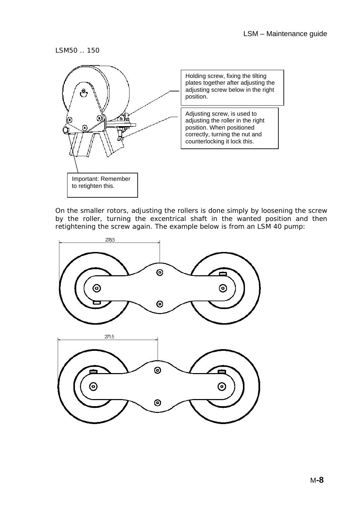LSM50 .. 150



On the smaller rotors, adjusting the rollers is done simply by loosening the screw by the roller, turning the excentrical shaft in the wanted position and then retightening the screw again. The example below is from an LSM 40 pump:

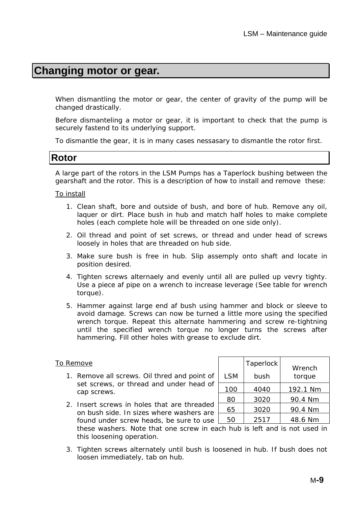## **Changing motor or gear.**

When dismantling the motor or gear, the center of gravity of the pump will be changed drastically.

Before dismanteling a motor or gear, it is important to check that the pump is securely fastend to its underlying support.

To dismantle the gear, it is in many cases nessasary to dismantle the rotor first.

#### **Rotor**

A large part of the rotors in the LSM Pumps has a Taperlock bushing between the gearshaft and the rotor. This is a description of how to install and remove these:

#### To install

- 1. Clean shaft, bore and outside of bush, and bore of hub. Remove any oil, laquer or dirt. Place bush in hub and match half holes to make complete holes (each complete hole will be threaded on one side only).
- 2. Oil thread and point of set screws, or thread and under head of screws loosely in holes that are threaded on hub side.
- 3. Make sure bush is free in hub. Slip assemply onto shaft and locate in position desired.
- 4. Tighten screws alternaely and evenly until all are pulled up vevry tighty. Use a piece af pipe on a wrench to increase leverage (See table for wrench torque).
- 5. Hammer against large end af bush using hammer and block or sleeve to avoid damage. Screws can now be turned a little more using the specified wrench torque. Repeat this alternate hammering and screw re-tightning until the specified wrench torque no longer turns the screws after hammering. Fill other holes with grease to exclude dirt.

#### To Remove

1. Remove all screws. Oil thred and point of set screws, or thread and under head of cap screws.

|            | Taperlock | Wrench   |  |  |
|------------|-----------|----------|--|--|
| <b>LSM</b> | bush      | torque   |  |  |
| 100        | 4040      | 192.1 Nm |  |  |
| 80         | 3020      | 90.4 Nm  |  |  |
| 65         | 3020      | 90.4 Nm  |  |  |
|            | 2517      | 48.6 Nm  |  |  |

2. Insert screws in holes that are threaded on bush side. In sizes where washers are found under screw heads, be sure to use

these washers. Note that one screw in each hub is left and is not used in this loosening operation.

3. Tighten screws alternately until bush is loosened in hub. If bush does not loosen immediately, tab on hub.